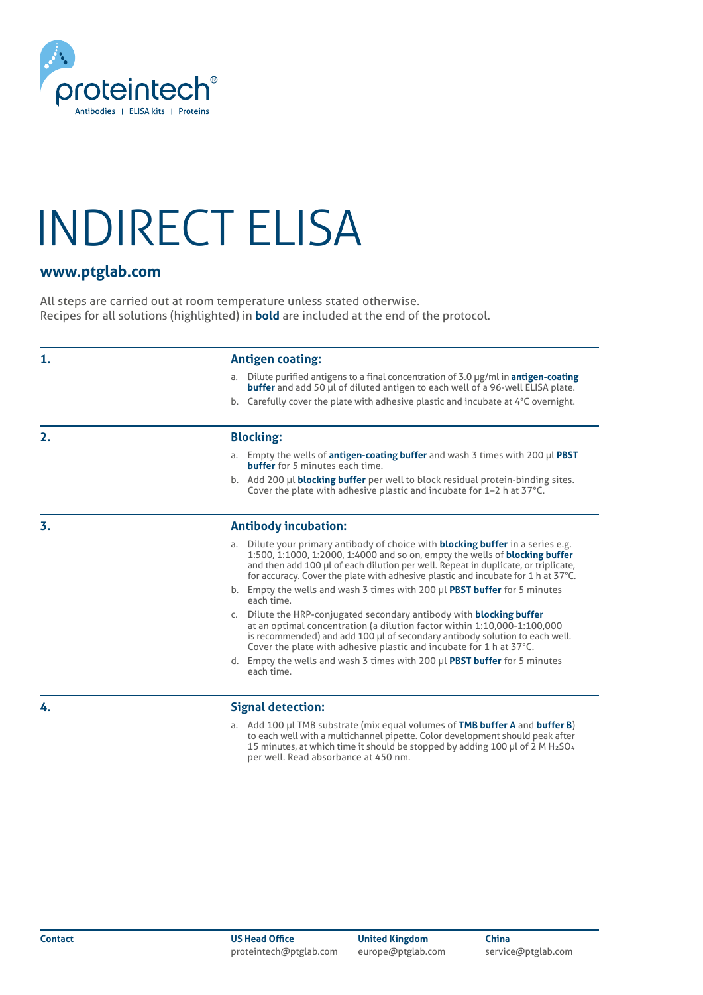

## INDIRECT ELISA

### **www.ptglab.com**

All steps are carried out at room temperature unless stated otherwise. Recipes for all solutions (highlighted) in **bold** are included at the end of the protocol.

| 1. | <b>Antigen coating:</b>                                                                                                                                                                                                                                                                                                                                    |  |  |
|----|------------------------------------------------------------------------------------------------------------------------------------------------------------------------------------------------------------------------------------------------------------------------------------------------------------------------------------------------------------|--|--|
|    | a. Dilute purified antigens to a final concentration of 3.0 $\mu$ g/ml in <b>antigen-coating</b><br><b>buffer</b> and add 50 µl of diluted antigen to each well of a 96-well ELISA plate.<br>b. Carefully cover the plate with adhesive plastic and incubate at 4°C overnight.                                                                             |  |  |
|    |                                                                                                                                                                                                                                                                                                                                                            |  |  |
| 2. | <b>Blocking:</b>                                                                                                                                                                                                                                                                                                                                           |  |  |
|    | a. Empty the wells of <b>antigen-coating buffer</b> and wash 3 times with 200 $\mu$ l <b>PBST</b><br><b>buffer</b> for 5 minutes each time.                                                                                                                                                                                                                |  |  |
|    | b. Add 200 µl <b>blocking buffer</b> per well to block residual protein-binding sites.<br>Cover the plate with adhesive plastic and incubate for 1-2 h at 37°C.                                                                                                                                                                                            |  |  |
| 3. | <b>Antibody incubation:</b>                                                                                                                                                                                                                                                                                                                                |  |  |
|    | Dilute your primary antibody of choice with <b>blocking buffer</b> in a series e.g.<br>a.<br>1:500, 1:1000, 1:2000, 1:4000 and so on, empty the wells of <b>blocking buffer</b><br>and then add 100 µl of each dilution per well. Repeat in duplicate, or triplicate,<br>for accuracy. Cover the plate with adhesive plastic and incubate for 1 h at 37°C. |  |  |
|    | b. Empty the wells and wash 3 times with 200 µl PBST buffer for 5 minutes<br>each time.                                                                                                                                                                                                                                                                    |  |  |
|    | c. Dilute the HRP-conjugated secondary antibody with <b>blocking buffer</b><br>at an optimal concentration (a dilution factor within 1:10,000-1:100,000<br>is recommended) and add 100 µl of secondary antibody solution to each well.<br>Cover the plate with adhesive plastic and incubate for 1 h at 37°C.                                              |  |  |
|    | d. Empty the wells and wash 3 times with 200 µl PBST buffer for 5 minutes<br>each time.                                                                                                                                                                                                                                                                    |  |  |
| 4. | Signal detection:                                                                                                                                                                                                                                                                                                                                          |  |  |

**Signal detection:**

a. Add 100 μl TMB substrate (mix equal volumes of **TMB buffer A** and **buffer B**) to each well with a multichannel pipette. Color development should peak after 15 minutes, at which time it should be stopped by adding 100 μl of 2 M H2SO4 per well. Read absorbance at 450 nm.